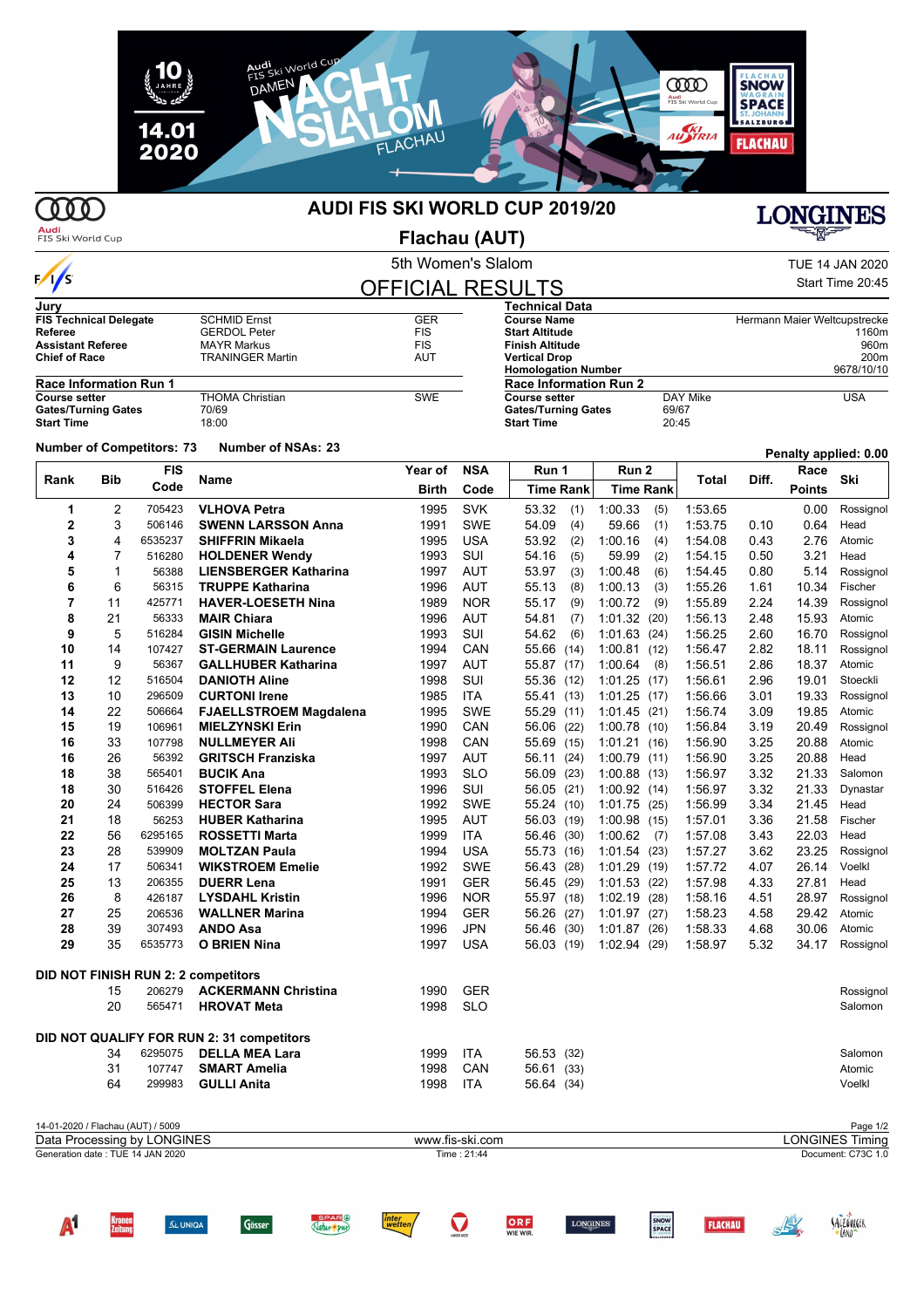

## 000

 $\sqrt{s}$ 

#### **AUDI FIS SKI WORLD CUP 2019/20**

# **LONGINES**

**Audi**<br>FIS Ski World Cup

5th Women's Slalom **Flachau (AUT)**

| TUE 14 JAN 2020  |  |
|------------------|--|
| Start Time 20:45 |  |

*ALLOVAGER* 

| <b>OFFICIAL RESULTS</b> |  |  |
|-------------------------|--|--|
|                         |  |  |

| Jury                          |                        |            | Technical Data                |          |                              |  |  |
|-------------------------------|------------------------|------------|-------------------------------|----------|------------------------------|--|--|
| <b>FIS Technical Delegate</b> | <b>SCHMID Ernst</b>    | <b>GER</b> | <b>Course Name</b>            |          | Hermann Maier Weltcupstrecke |  |  |
| Referee                       | <b>GERDOL Peter</b>    | <b>FIS</b> | <b>Start Altitude</b>         |          | 1160m                        |  |  |
| <b>Assistant Referee</b>      | <b>MAYR Markus</b>     | <b>FIS</b> | <b>Finish Altitude</b>        |          | 960m                         |  |  |
| <b>Chief of Race</b>          | TRANINGER Martin       | AUT        | <b>Vertical Drop</b>          |          | 200m                         |  |  |
|                               |                        |            | <b>Homologation Number</b>    |          | 9678/10/10                   |  |  |
| <b>Race Information Run 1</b> |                        |            | <b>Race Information Run 2</b> |          |                              |  |  |
| <b>Course setter</b>          | <b>THOMA Christian</b> | <b>SWE</b> | Course setter                 | DAY Mike | USA                          |  |  |
| <b>Gates/Turning Gates</b>    | 70/69                  |            | <b>Gates/Turning Gates</b>    | 69/67    |                              |  |  |
| <b>Start Time</b>             | 18:00                  |            | <b>Start Time</b>             | 20:45    |                              |  |  |

#### **Number of Competitors:** 73 **Number of NSAs:** 23 **Penalty applied:** 0.00

**Bib FIS Rank** Bib code Name **The Contract Contract Contract Contract Contract Contract Contract Contract Contract Contract Contract Contract Contract Contract Contract Contract Contract Contract Contract Contract Contract Contrac Year of Code NSA Code Run 1 Run 2 Race Race Race Birth** Code | Time Rank | Time Rank | Time Rank | Points **Ski Time Rank Time Rank** 2 705423 **VLHOVA Petra** 1995 SVK 53.32 (1) 1:00.33 (5) 1:53.65 0.00 Rossignol 3 506146 **SWENN LARSSON Anna** 1991 SWE 54.09 (4) 59.66 (1) 1:53.75 0.10 0.64 Head 4 6535237 **SHIFFRIN Mikaela** 1995 USA 53.92 (2) 1:00.16 (4) 1:54.08 0.43 2.76 Atomic 7 516280 **HOLDENER Wendy** 1993 SUI 54.16 (5) 59.99 (2) 1:54.15 0.50 3.21 Head 1 56388 **LIENSBERGER Katharina** 1997 AUT 53.97 (3) 1:00.48 (6) 1:54.45 0.80 5.14 Rossignol 6 56315 **TRUPPE Katharina** 1996 AUT 55.13 (8) 1:00.13 (3) 1:55.26 1.61 10.34 Fischer 11 425771 **HAVER-LOESETH Nina** 1989 NOR 55.17 (9) 1:00.72 (9) 1:55.89 2.24 14.39 Rossignol 21 56333 **MAIR Chiara** 1996 AUT 54.81 (7) 1:01.32 (20) 1:56.13 2.48 15.93 Atomic 5 516284 **GISIN Michelle** 1993 SUI 54.62 (6) 1:01.63 (24) 1:56.25 2.60 16.70 Rossignol 14 107427 **ST-GERMAIN Laurence** 1994 CAN 55.66 (14) 1:00.81 (12) 1:56.47 2.82 18.11 Rossignol 9 56367 **GALLHUBER Katharina** 1997 AUT 55.87 (17) 1:00.64 (8) 1:56.51 2.86 18.37 Atomic 12 516504 **DANIOTH Aline** 1998 SUI 55.36 (12) 1:01.25 (17) 1:56.61 2.96 19.01 Stoeckli 10 296509 **CURTONI Irene** 1985 ITA 55.41 (13) 1:01.25 (17) 1:56.66 3.01 19.33 Rossignol 22 506664 **FJAELLSTROEM Magdalena** 1995 SWE 55.29 (11) 1:01.45 (21) 1:56.74 3.09 19.85 Atomic 19 106961 **MIELZYNSKI Erin** 1990 CAN 56.06 (22) 1:00.78 (10) 1:56.84 3.19 20.49 Rossignol 33 107798 **NULLMEYER Ali** 1998 CAN 55.69 (15) 1:01.21 (16) 1:56.90 3.25 20.88 Atomic 26 56392 **GRITSCH Franziska** 1997 AUT 56.11 (24) 1:00.79 (11) 1:56.90 3.25 20.88 Head 38 565401 **BUCIK Ana** 1993 SLO 56.09 (23) 1:00.88 (13) 1:56.97 3.32 21.33 Salomon 30 516426 **STOFFEL Elena** 1996 SUI 56.05 (21) 1:00.92 (14) 1:56.97 3.32 21.33 Dynastar 24 506399 **HECTOR Sara** 1992 SWE 55.24 (10) 1:01.75 (25) 1:56.99 3.34 21.45 Head 18 56253 **HUBER Katharina** 1995 AUT 56.03 (19) 1:00.98 (15) 1:57.01 3.36 21.58 Fischer 56 6295165 **ROSSETTI Marta** 1999 ITA 56.46 (30) 1:00.62 (7) 1:57.08 3.43 22.03 Head 28 539909 **MOLTZAN Paula** 1994 USA 55.73 (16) 1:01.54 (23) 1:57.27 3.62 23.25 Rossignol 17 506341 **WIKSTROEM Emelie** 1992 SWE 56.43 (28) 1:01.29 (19) 1:57.72 4.07 26.14 Voelkl 13 206355 **DUERR Lena** 1991 GER 56.45 (29) 1:01.53 (22) 1:57.98 4.33 27.81 Head 8 426187 **LYSDAHL Kristin** 1996 NOR 55.97 (18) 1:02.19 (28) 1:58.16 4.51 28.97 Rossignol 25 206536 **WALLNER Marina** 1994 GER 56.26 (27) 1:01.97 (27) 1:58.23 4.58 29.42 Atomic 39 307493 **ANDO Asa** 1996 JPN 56.46 (30) 1:01.87 (26) 1:58.33 4.68 30.06 Atomic 35 6535773 **O BRIEN Nina** 1997 USA 56.03 (19) 1:02.94 (29) 1:58.97 5.32 34.17 Rossignol **DID NOT FINISH RUN 2: 2 competitors** 206279 **ACKERMANN Christina** 1990 GER Rossignol 565471 **HROVAT Meta** 1998 SLO Salomon **DID NOT QUALIFY FOR RUN 2: 31 competitors** 6295075 **DELLA MEA Lara** 1999 ITA 56.53 (32) Salomon 107747 **SMART Amelia** 1998 CAN 56.61 (33) Atomic 299983 **GULLI Anita** 1998 ITA 56.64 (34) Voelkl

| 14-01-2020 / Flachau (AUT) / 5009 |                 | Page 1/2               |
|-----------------------------------|-----------------|------------------------|
| Data Processing by LONGINES       | www.fis-ski.com | <b>LONGINES Timing</b> |
| Generation date : TUE 14 JAN 2020 | Time: 21:44     | Document: C73C 1.0     |
|                                   |                 |                        |
|                                   |                 |                        |
|                                   |                 |                        |
|                                   |                 |                        |

ORF

**SNOW**<br>SPACE

**ELACHAIL**